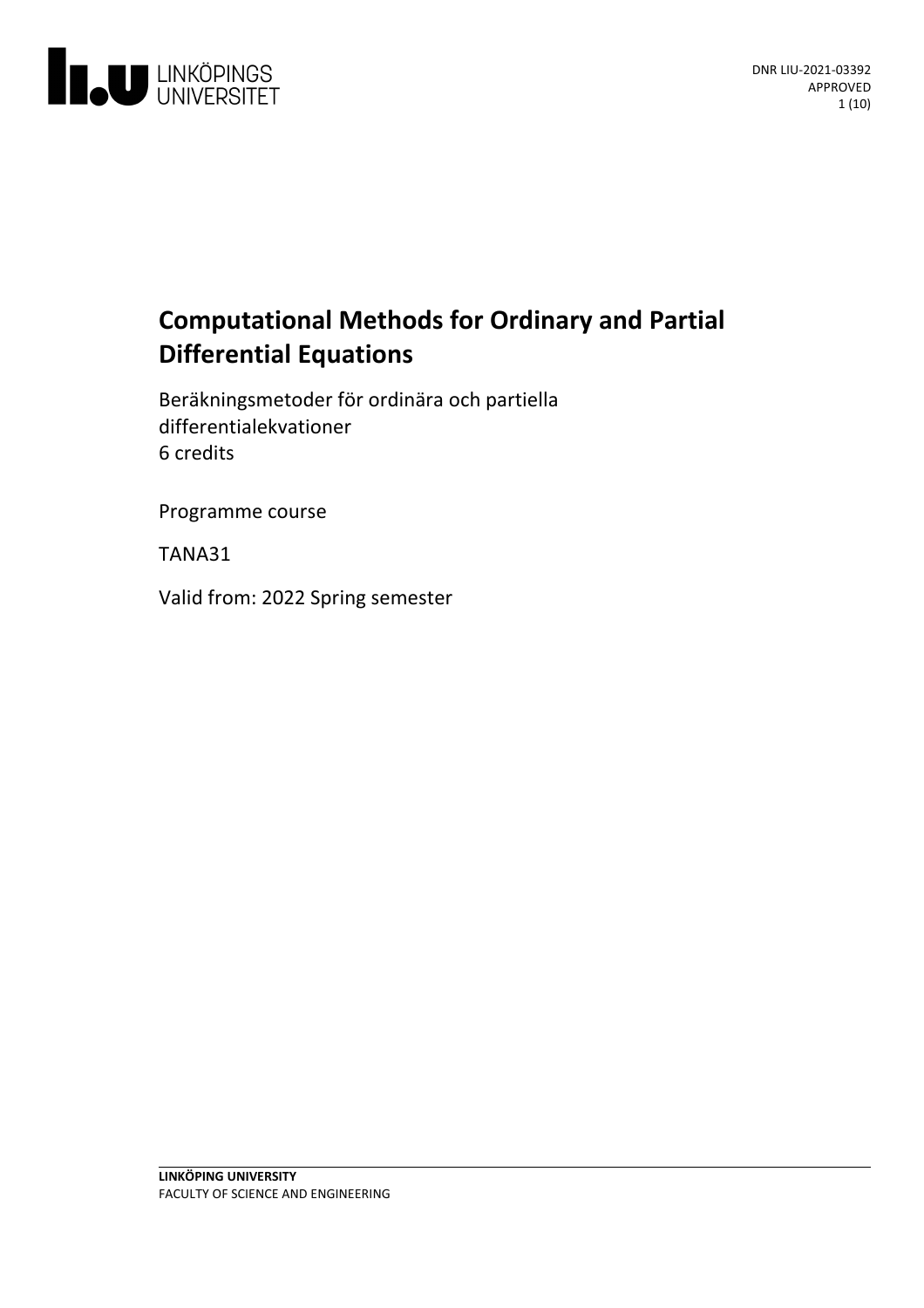

# **Computational Methods for Ordinary and Partial Differential Equations**

Beräkningsmetoder för ordinära och partiella differentialekvationer 6 credits

Programme course

TANA31

Valid from: 2022 Spring semester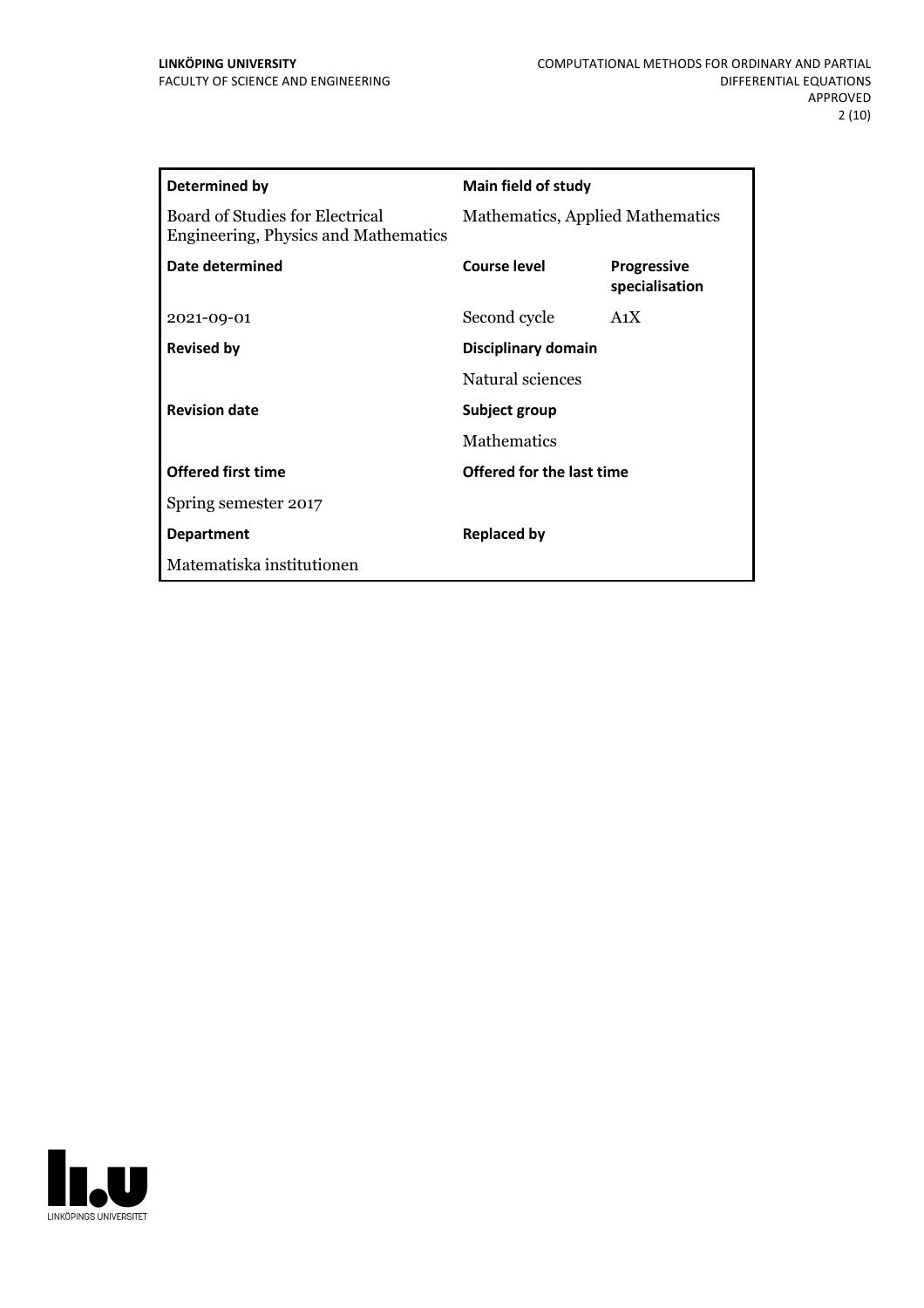| Determined by                                                           | <b>Main field of study</b>       |                                      |
|-------------------------------------------------------------------------|----------------------------------|--------------------------------------|
| Board of Studies for Electrical<br>Engineering, Physics and Mathematics | Mathematics, Applied Mathematics |                                      |
| Date determined                                                         | Course level                     | <b>Progressive</b><br>specialisation |
| 2021-09-01                                                              | Second cycle                     | A <sub>1</sub> X                     |
| <b>Revised by</b>                                                       | Disciplinary domain              |                                      |
|                                                                         | Natural sciences                 |                                      |
| <b>Revision date</b>                                                    | Subject group                    |                                      |
|                                                                         | <b>Mathematics</b>               |                                      |
| <b>Offered first time</b>                                               | Offered for the last time        |                                      |
| Spring semester 2017                                                    |                                  |                                      |
| <b>Department</b>                                                       | <b>Replaced by</b>               |                                      |
| Matematiska institutionen                                               |                                  |                                      |
|                                                                         |                                  |                                      |

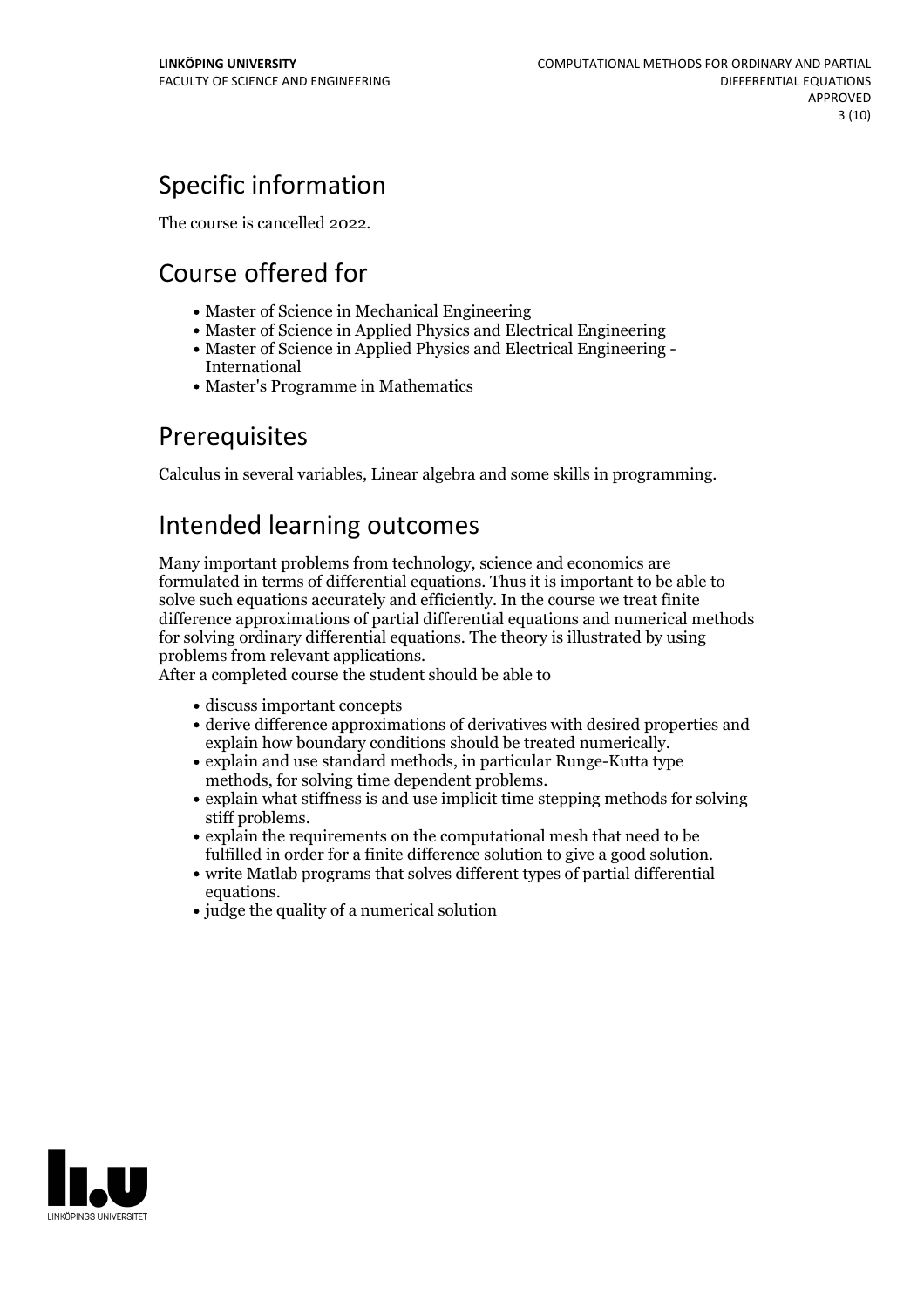# Specific information

The course is cancelled 2022.

# Course offered for

- Master of Science in Mechanical Engineering
- Master of Science in Applied Physics and Electrical Engineering
- Master of Science in Applied Physics and Electrical Engineering International
- Master's Programme in Mathematics

## **Prerequisites**

Calculus in several variables, Linear algebra and some skills in programming.

## Intended learning outcomes

Many important problems from technology, science and economics are formulated in terms of differential equations. Thus it is important to be able to solve such equations accurately and efficiently. In the course we treat finite difference approximations of partial differential equations and numerical methods for solving ordinary differential equations. The theory is illustrated by using problems from relevantapplications. After <sup>a</sup> completed course the student should be able to

- discuss important concepts
- derive difference approximations of derivatives with desired properties and
- explain how boundary conditions should be treated numerically. explain and use standard methods, in particular Runge-Kutta type
- methods, for solving time dependent problems.<br>• explain what stiffness is and use implicit time stepping methods for solving stiff problems.<br>• explain the requirements on the computational mesh that need to be
- 
- fulfilled in order for a finite difference solution to give a good solution.<br>• write Matlab programs that solves different types of partial differential
- equations.<br>• judge the quality of a numerical solution

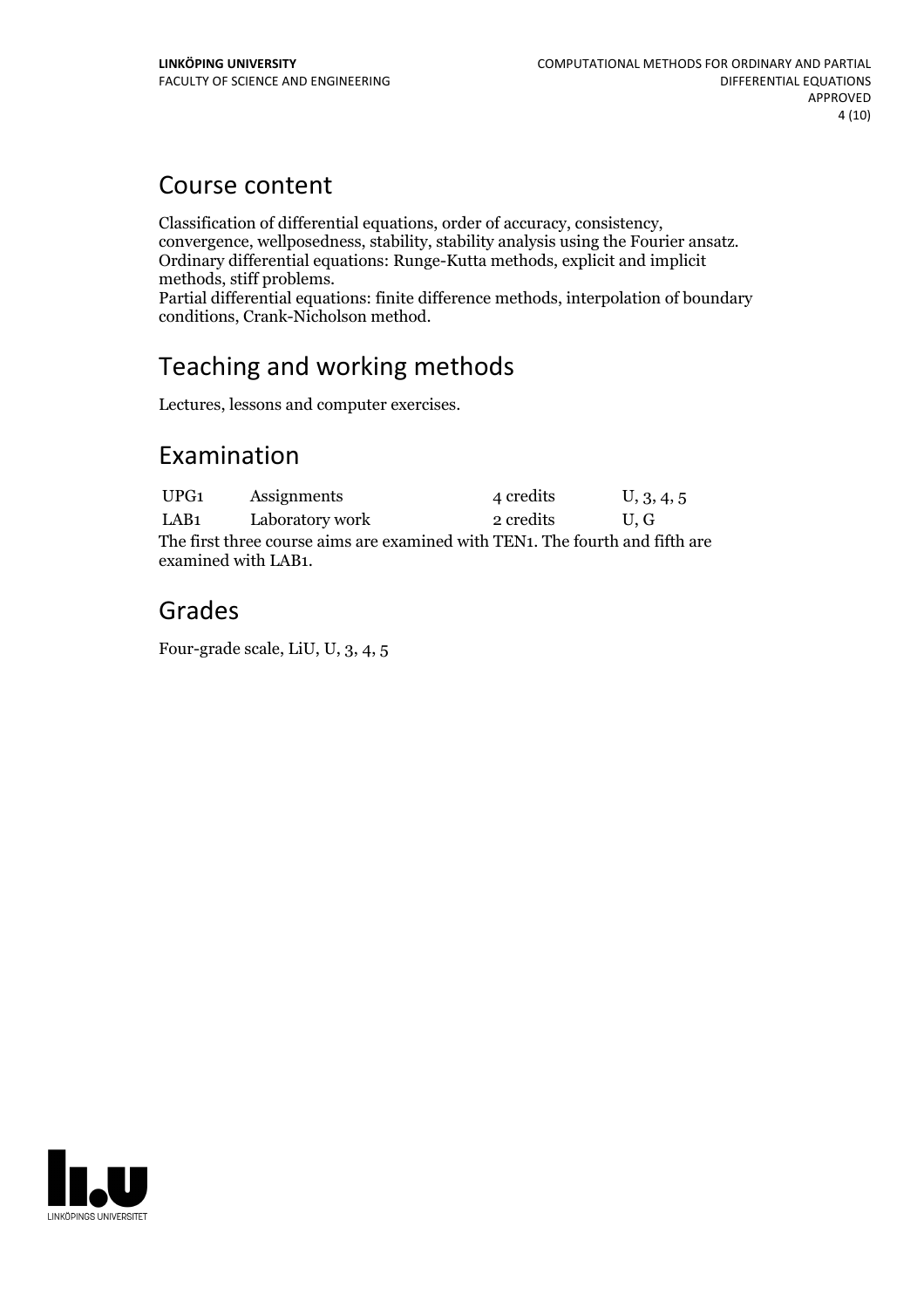## Course content

Classification of differential equations, order of accuracy, consistency,<br>convergence, wellposedness, stability, stability analysis using the Fourier ansatz.<br>Ordinary differential equations: Runge-Kutta methods, explicit a

Partial differential equations: finite difference methods, interpolation of boundary conditions, Crank-Nicholson method.

## Teaching and working methods

Lectures, lessons and computer exercises.

## Examination

UPG1 Assignments 4 credits U, 3, 4, 5 LAB1 Laboratory work 2 credits U, G The first three course aims are examined with TEN1. The fourth and fifth are examined with LAB1.

## Grades

Four-grade scale, LiU, U, 3, 4, 5

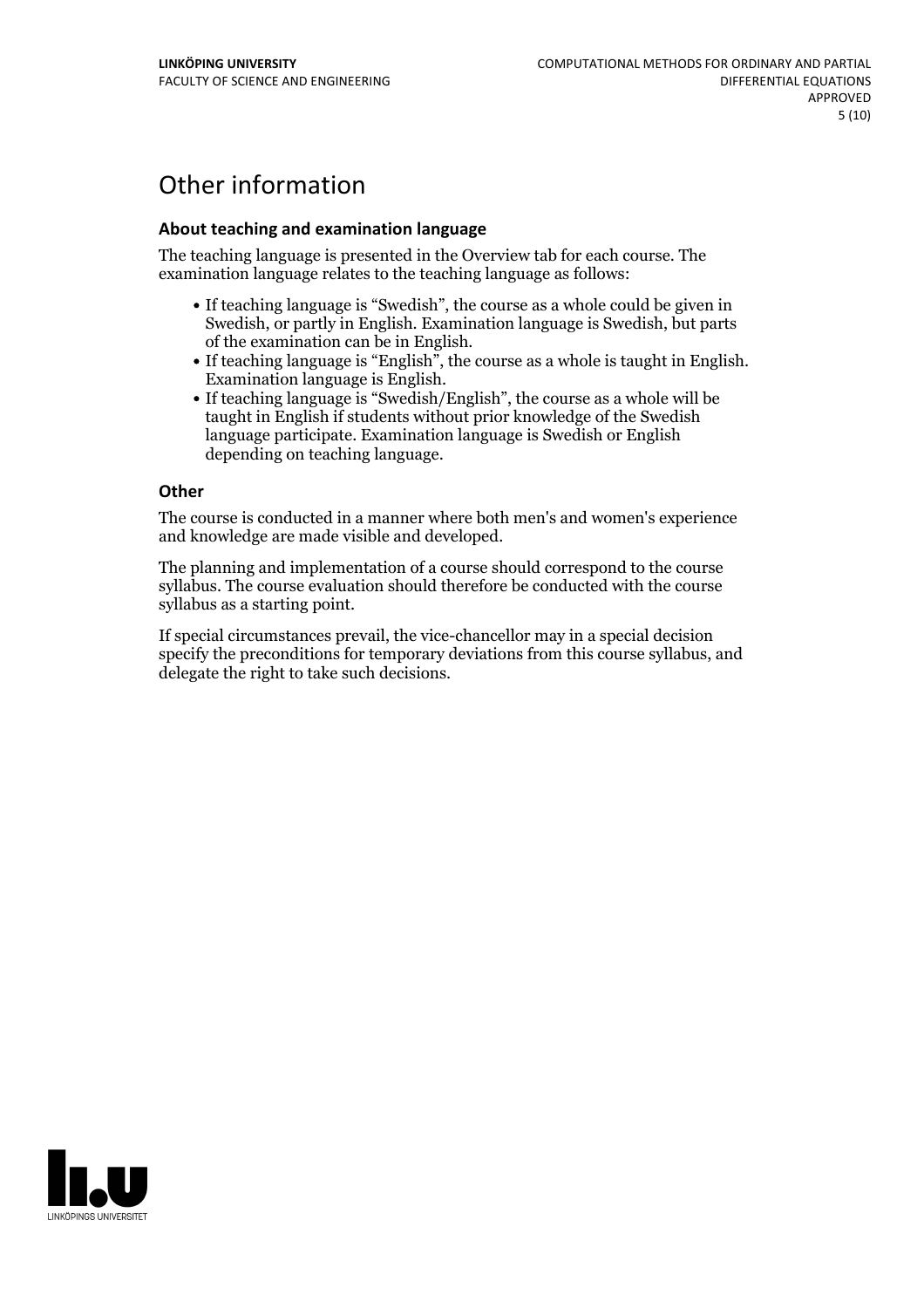## Other information

### **About teaching and examination language**

The teaching language is presented in the Overview tab for each course. The examination language relates to the teaching language as follows:

- If teaching language is "Swedish", the course as a whole could be given in Swedish, or partly in English. Examination language is Swedish, but parts
- of the examination can be in English.<br>
If teaching language is "English", the course as a whole is taught in English.<br>
Examination language is English.<br>
If teaching language is "Swedish/English", the course as a whole will
- taught in English if students without prior knowledge of the Swedish language participate. Examination language is Swedish or English depending on teaching language.

#### **Other**

The course is conducted in a manner where both men's and women's experience and knowledge are made visible and developed.

The planning and implementation of a course should correspond to the course syllabus. The course evaluation should therefore be conducted with the course syllabus as a starting point.

If special circumstances prevail, the vice-chancellor may in a special decision specify the preconditions for temporary deviations from this course syllabus, and delegate the right to take such decisions.

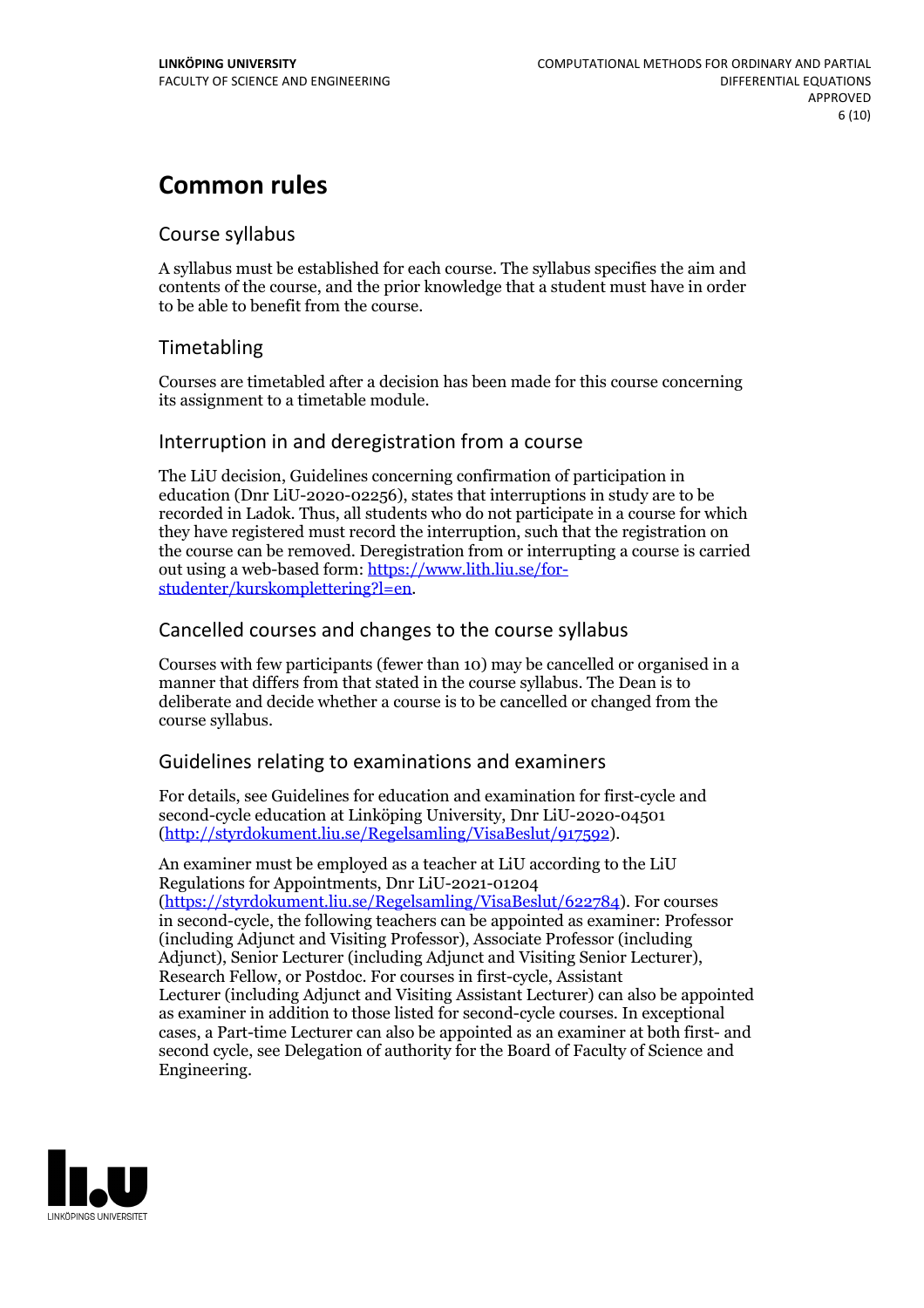## **Common rules**

## Course syllabus

A syllabus must be established for each course. The syllabus specifies the aim and contents of the course, and the prior knowledge that a student must have in order to be able to benefit from the course.

## Timetabling

Courses are timetabled after a decision has been made for this course concerning its assignment to a timetable module.

## Interruption in and deregistration from a course

The LiU decision, Guidelines concerning confirmation of participation in education (Dnr LiU-2020-02256), states that interruptions in study are to be recorded in Ladok. Thus, all students who do not participate in a course for which they have registered must record the interruption, such that the registration on the course can be removed. Deregistration from or interrupting a course is carried out using <sup>a</sup> web-based form: https://www.lith.liu.se/for- [studenter/kurskomplettering?l=en.](https://www.lith.liu.se/for-studenter/kurskomplettering?l=en)

## Cancelled coursesand changes to the course syllabus

Courses with few participants (fewer than 10) may be cancelled or organised in a manner that differs from that stated in the course syllabus. The Dean is to deliberate and decide whether a course is to be cancelled or changed from the course syllabus.

## Guidelines relating to examinations and examiners

For details, see Guidelines for education and examination for first-cycle and second-cycle education at Linköping University, Dnr LiU-2020-04501 [\(http://styrdokument.liu.se/Regelsamling/VisaBeslut/917592\)](http://styrdokument.liu.se/Regelsamling/VisaBeslut/917592).

An examiner must be employed as a teacher at LiU according to the LiU Regulations for Appointments, Dnr LiU-2021-01204 [\(https://styrdokument.liu.se/Regelsamling/VisaBeslut/622784](https://styrdokument.liu.se/Regelsamling/VisaBeslut/622784)). For courses in second-cycle, the following teachers can be appointed as examiner: Professor (including Adjunct and Visiting Professor), Associate Professor (including Adjunct), Senior Lecturer (including Adjunct and Visiting Senior Lecturer), Research Fellow, or Postdoc. For courses in first-cycle, Assistant Lecturer (including Adjunct and Visiting Assistant Lecturer) can also be appointed as examiner in addition to those listed for second-cycle courses. In exceptional cases, a Part-time Lecturer can also be appointed as an examiner at both first- and second cycle, see Delegation of authority for the Board of Faculty of Science and Engineering.

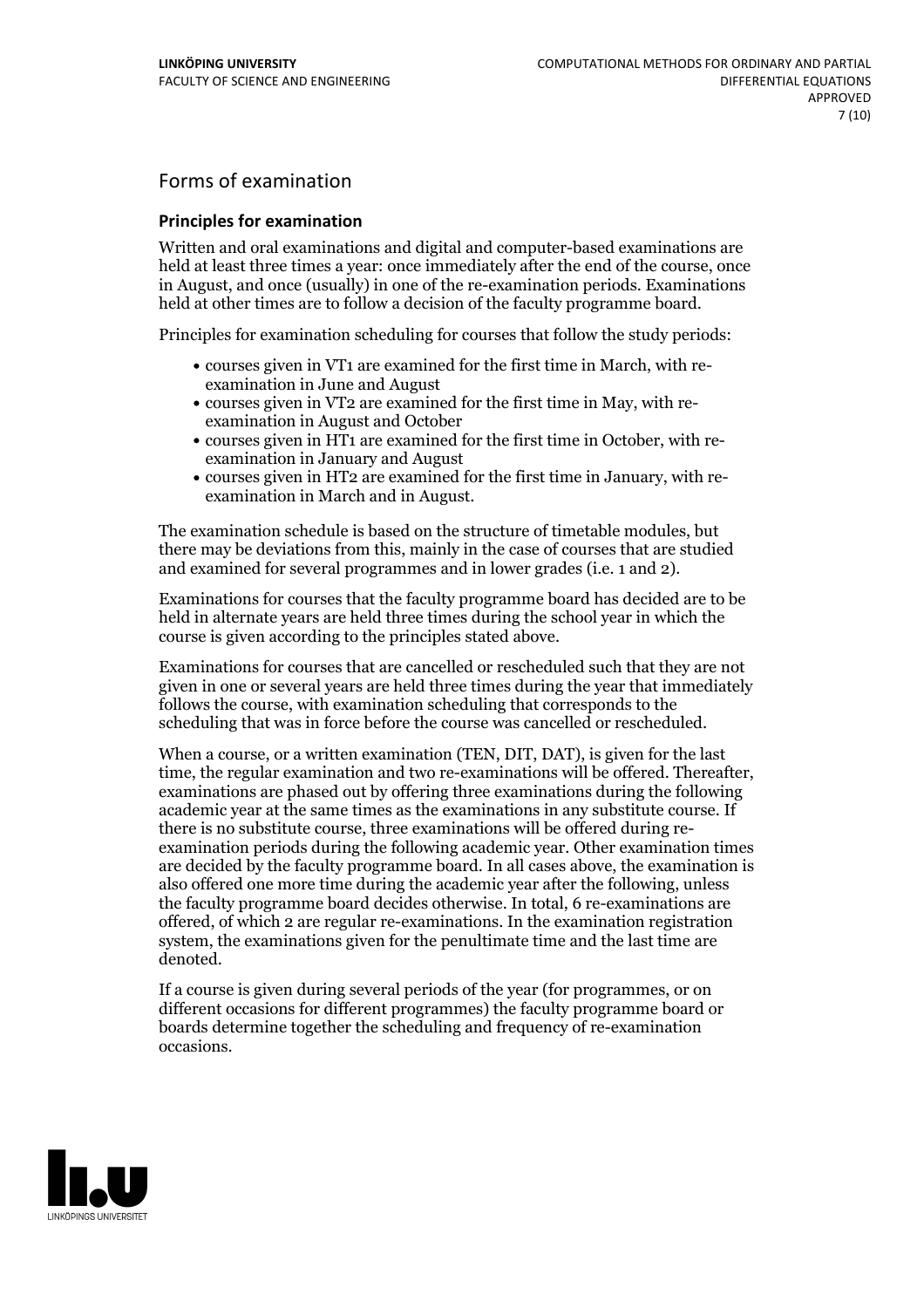## Forms of examination

#### **Principles for examination**

Written and oral examinations and digital and computer-based examinations are held at least three times a year: once immediately after the end of the course, once in August, and once (usually) in one of the re-examination periods. Examinations held at other times are to follow a decision of the faculty programme board.

Principles for examination scheduling for courses that follow the study periods:

- courses given in VT1 are examined for the first time in March, with re-examination in June and August
- courses given in VT2 are examined for the first time in May, with re-examination in August and October
- courses given in HT1 are examined for the first time in October, with re-examination in January and August
- courses given in HT2 are examined for the first time in January, with re-examination in March and in August.

The examination schedule is based on the structure of timetable modules, but there may be deviations from this, mainly in the case of courses that are studied and examined for several programmes and in lower grades (i.e. 1 and 2).

Examinations for courses that the faculty programme board has decided are to be held in alternate years are held three times during the school year in which the course is given according to the principles stated above.

Examinations for courses that are cancelled orrescheduled such that they are not given in one or several years are held three times during the year that immediately follows the course, with examination scheduling that corresponds to the scheduling that was in force before the course was cancelled or rescheduled.

When a course, or a written examination (TEN, DIT, DAT), is given for the last time, the regular examination and two re-examinations will be offered. Thereafter, examinations are phased out by offering three examinations during the following academic year at the same times as the examinations in any substitute course. If there is no substitute course, three examinations will be offered during re- examination periods during the following academic year. Other examination times are decided by the faculty programme board. In all cases above, the examination is also offered one more time during the academic year after the following, unless the faculty programme board decides otherwise. In total, 6 re-examinations are offered, of which 2 are regular re-examinations. In the examination registration system, the examinations given for the penultimate time and the last time are denoted.

If a course is given during several periods of the year (for programmes, or on different occasions for different programmes) the faculty programme board or boards determine together the scheduling and frequency of re-examination occasions.

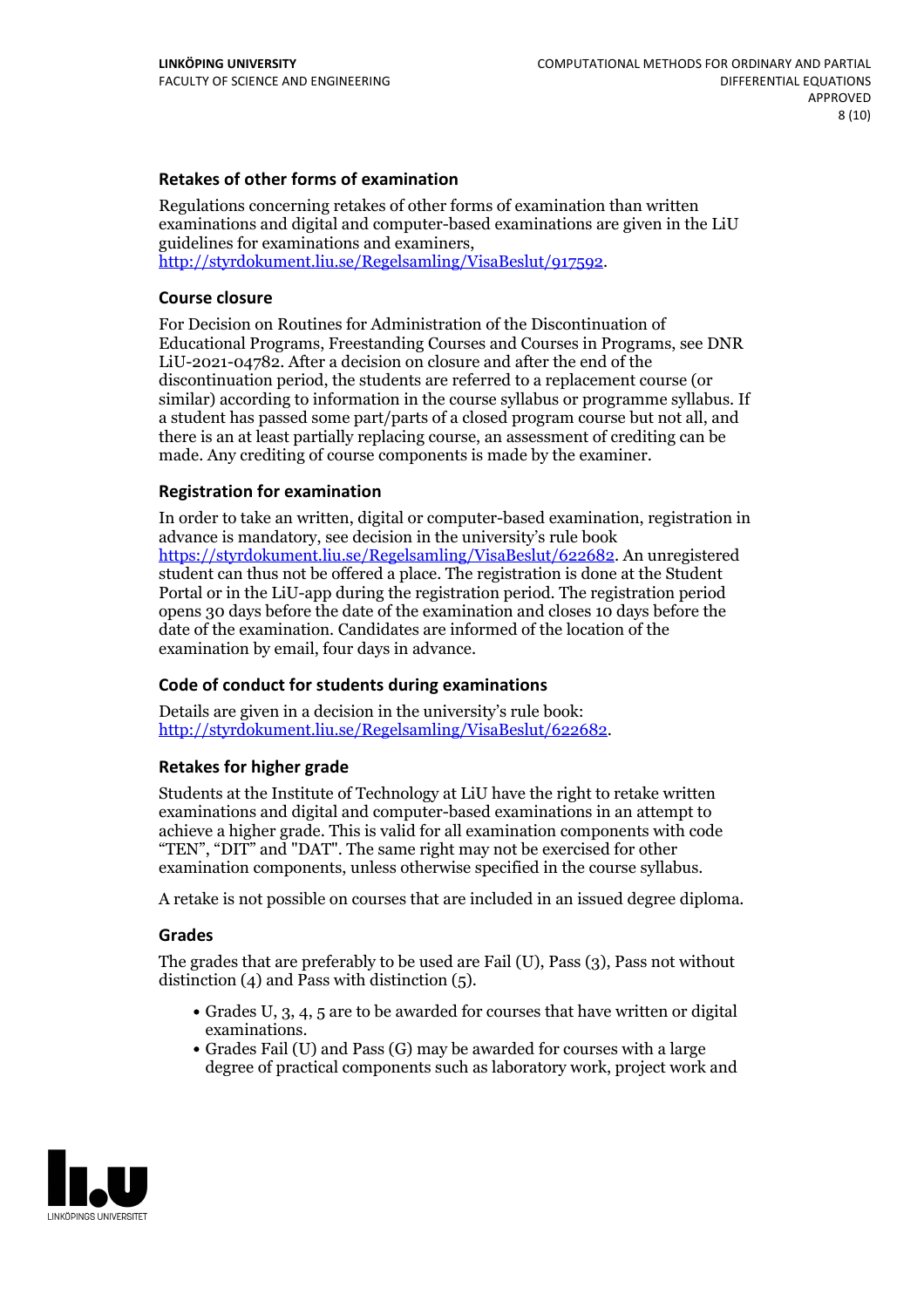### **Retakes of other forms of examination**

Regulations concerning retakes of other forms of examination than written examinations and digital and computer-based examinations are given in the LiU guidelines for examinations and examiners, [http://styrdokument.liu.se/Regelsamling/VisaBeslut/917592.](http://styrdokument.liu.se/Regelsamling/VisaBeslut/917592)

#### **Course closure**

For Decision on Routines for Administration of the Discontinuation of Educational Programs, Freestanding Courses and Courses in Programs, see DNR LiU-2021-04782. After a decision on closure and after the end of the discontinuation period, the students are referred to a replacement course (or similar) according to information in the course syllabus or programme syllabus. If a student has passed some part/parts of a closed program course but not all, and there is an at least partially replacing course, an assessment of crediting can be made. Any crediting of course components is made by the examiner.

#### **Registration for examination**

In order to take an written, digital or computer-based examination, registration in advance is mandatory, see decision in the university's rule book [https://styrdokument.liu.se/Regelsamling/VisaBeslut/622682.](https://styrdokument.liu.se/Regelsamling/VisaBeslut/622682) An unregistered student can thus not be offered a place. The registration is done at the Student Portal or in the LiU-app during the registration period. The registration period opens 30 days before the date of the examination and closes 10 days before the date of the examination. Candidates are informed of the location of the examination by email, four days in advance.

### **Code of conduct for students during examinations**

Details are given in a decision in the university's rule book: <http://styrdokument.liu.se/Regelsamling/VisaBeslut/622682>.

#### **Retakes for higher grade**

Students at the Institute of Technology at LiU have the right to retake written examinations and digital and computer-based examinations in an attempt to achieve a higher grade. This is valid for all examination components with code "TEN", "DIT" and "DAT". The same right may not be exercised for other examination components, unless otherwise specified in the course syllabus.

A retake is not possible on courses that are included in an issued degree diploma.

#### **Grades**

The grades that are preferably to be used are Fail (U), Pass (3), Pass not without distinction  $(4)$  and Pass with distinction  $(5)$ .

- Grades U, 3, 4, 5 are to be awarded for courses that have written or digital examinations.<br>• Grades Fail (U) and Pass (G) may be awarded for courses with a large
- degree of practical components such as laboratory work, project work and

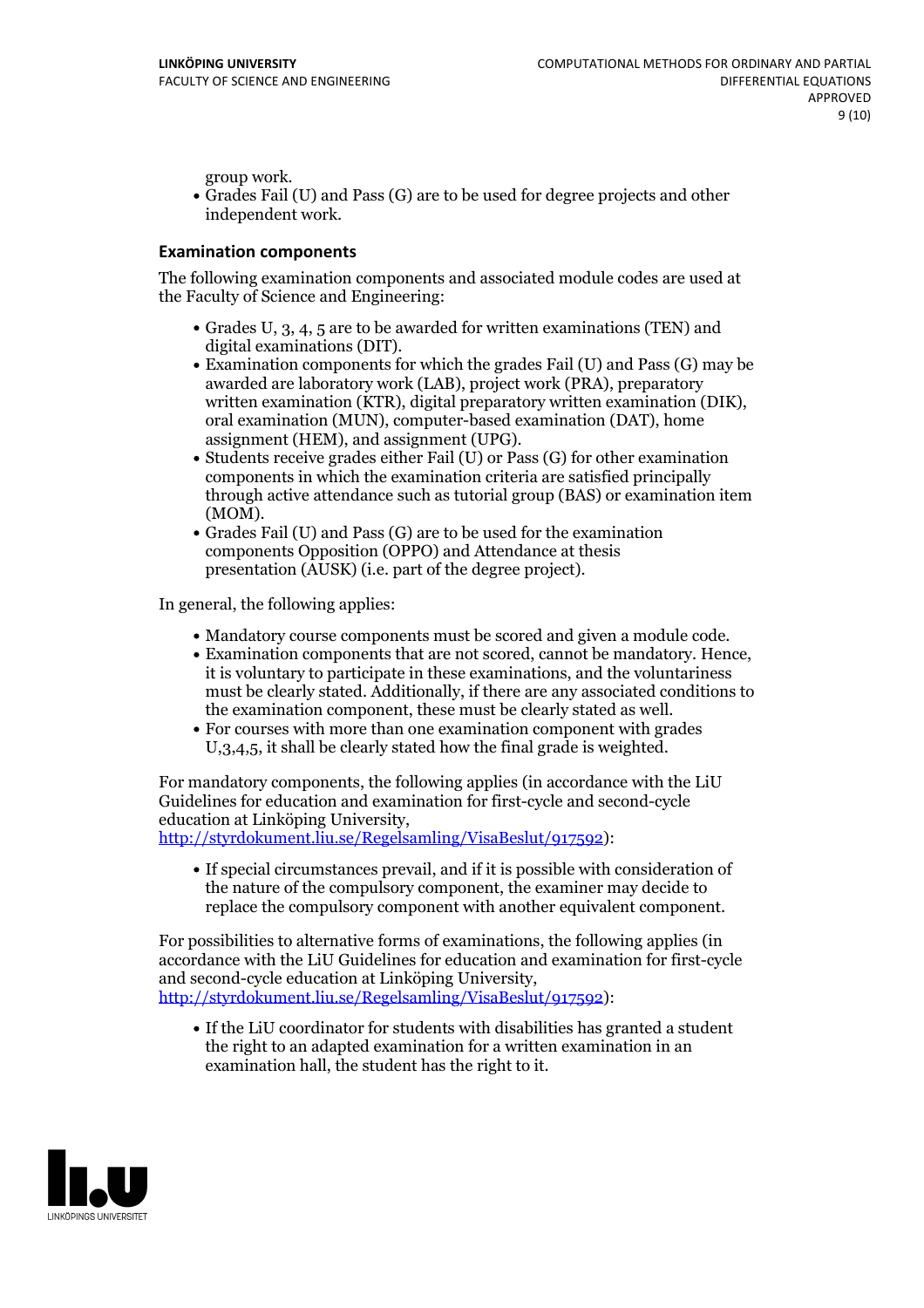group work.<br>• Grades Fail (U) and Pass (G) are to be used for degree projects and other independent work.

#### **Examination components**

The following examination components and associated module codes are used at the Faculty of Science and Engineering:

- Grades U, 3, 4, 5 are to be awarded for written examinations (TEN) and
- digital examinations (DIT).<br>• Examination components for which the grades Fail (U) and Pass (G) may be awarded are laboratory work (LAB), project work (PRA), preparatory written examination (KTR), digital preparatory written examination (DIK), oral examination (MUN), computer-based examination (DAT), home
- assignment (HEM), and assignment (UPG).<br>• Students receive grades either Fail (U) or Pass (G) for other examination components in which the examination criteria are satisfied principally through active attendance such as tutorial group (BAS) or examination item (MOM).<br>• Grades Fail (U) and Pass (G) are to be used for the examination
- components Opposition (OPPO) and Attendance at thesis presentation (AUSK) (i.e. part of the degree project).

In general, the following applies:

- 
- Mandatory course components must be scored and given <sup>a</sup> module code. Examination components that are not scored, cannot be mandatory. Hence, it is voluntary to participate in these examinations, and the voluntariness must be clearly stated. Additionally, if there are any associated conditions to
- the examination component, these must be clearly stated as well.<br>• For courses with more than one examination component with grades U,3,4,5, it shall be clearly stated how the final grade is weighted.

For mandatory components, the following applies (in accordance with the LiU Guidelines for education and examination for first-cycle and second-cycle education at Linköping University,<br>[http://styrdokument.liu.se/Regelsamling/VisaBeslut/917592\)](http://styrdokument.liu.se/Regelsamling/VisaBeslut/917592):

If special circumstances prevail, and if it is possible with consideration of the nature of the compulsory component, the examiner may decide to replace the compulsory component with another equivalent component.

For possibilities to alternative forms of examinations, the following applies (in accordance with the LiU Guidelines for education and examination for first-cycle [http://styrdokument.liu.se/Regelsamling/VisaBeslut/917592\)](http://styrdokument.liu.se/Regelsamling/VisaBeslut/917592):

If the LiU coordinator for students with disabilities has granted a student the right to an adapted examination for a written examination in an examination hall, the student has the right to it.